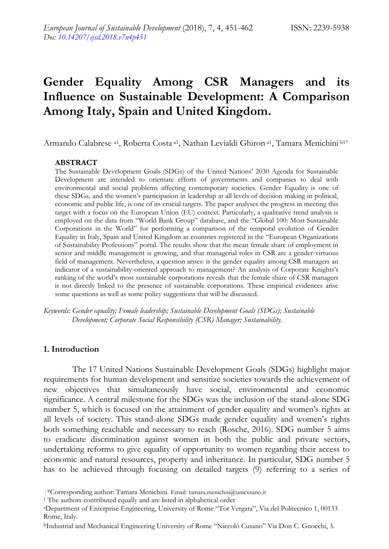# **Gender Equality Among CSR Managers and its Influence on Sustainable Development: A Comparison Among Italy, Spain and United Kingdom.**

Armando Calabrese <sup>a1</sup>, Roberta Costa <sup>a1</sup>, Nathan Levialdi Ghiron <sup>a1</sup>, Tamara Menichini b1<sup>\*</sup>

#### **ABSTRACT**

The Sustainable Development Goals (SDGs) of the United Nations" 2030 Agenda for Sustainable Development are intended to orientate efforts of governments and companies to deal with environmental and social problems affecting contemporary societies. Gender Equality is one of these SDGs, and the women"s participation in leadership at all levels of decision making in political, economic and public life, is one of its crucial targets. The paper analyses the progress in meeting this target with a focus on the European Union (EU) context. Particularly, a qualitative trend analysis is employed on the data from "World Bank Group" database, and the "Global 100: Most Sustainable Corporations in the World" for performing a comparison of the temporal evolution of Gender Equality in Italy, Spain and United Kingdom as countries registered in the "European Organizations of Sustainability Professions" portal. The results show that the mean female share of employment in senior and middle management is growing, and that managerial roles in CSR are a gender-virtuous field of management. Nevertheless, a question arises: is the gender equality among CSR managers an indicator of a sustainability-oriented approach to management? An analysis of Corporate Knights"s ranking of the world"s most sustainable corporations reveals that the female share of CSR managers is not directly linked to the presence of sustainable corporations. These empirical evidences arise some questions as well as some policy suggestions that will be discussed.

*Keywords: Gender equality; Female leadership; Sustainable Development Goals (SDGs); Sustainable Development; Corporate Social Responsibility (CSR) Manager; Sustainability.*

# **1. Introduction**

The 17 United Nations Sustainable Development Goals (SDGs) highlight major requirements for human development and sensitize societies towards the achievement of new objectives that simultaneously have social, environmental and economic significance. A central milestone for the SDGs was the inclusion of the stand-alone SDG number 5, which is focused on the attainment of gender equality and women"s rights at all levels of society. This stand-alone SDGs made gender equality and women"s rights both something reachable and necessary to reach (Rosche, 2016). SDG number 5 aims to eradicate discrimination against women in both the public and private sectors, undertaking reforms to give equality of opportunity to women regarding their access to economic and natural resources, property and inheritance. In particular, SDG number 5 has to be achieved through focusing on detailed targets (9) referring to a series of

<sup>|\*</sup>Corresponding author: Tamara Menichini. Email: tamara.menichni@unicusano.it

<sup>&</sup>lt;sup>1</sup> The authors contributed equally and are listed in alphabetical order

<sup>a</sup>Department of Enterprise Engineering, University of Rome "Tor Vergata", Via del Politecnico 1, 00133 Rome, Italy.

bIndustrial and Mechanical Engineering University of Rome "Niccolò Cusano" Via Don C. Gnocchi, 3.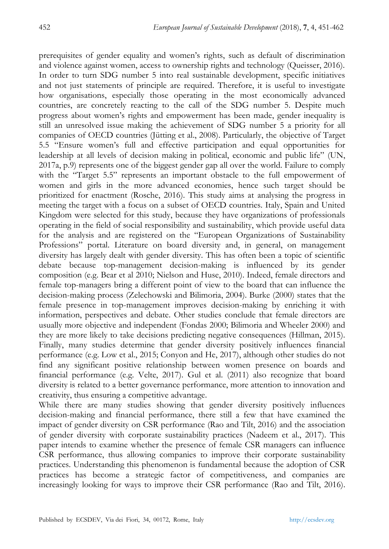prerequisites of gender equality and women"s rights, such as default of discrimination and violence against women, access to ownership rights and technology (Queisser, 2016). In order to turn SDG number 5 into real sustainable development, specific initiatives and not just statements of principle are required. Therefore, it is useful to investigate how organisations, especially those operating in the most economically advanced countries, are concretely reacting to the call of the SDG number 5. Despite much progress about women"s rights and empowerment has been made, gender inequality is still an unresolved issue making the achievement of SDG number 5 a priority for all companies of OECD countries (Jütting et al., 2008). Particularly, the objective of Target 5.5 "Ensure women"s full and effective participation and equal opportunities for leadership at all levels of decision making in political, economic and public life" (UN, 2017a, p.9) represents one of the biggest gender gap all over the world. Failure to comply with the "Target 5.5" represents an important obstacle to the full empowerment of women and girls in the more advanced economies, hence such target should be prioritized for enactment (Rosche, 2016). This study aims at analysing the progress in meeting the target with a focus on a subset of OECD countries. Italy, Spain and United Kingdom were selected for this study, because they have organizations of professionals operating in the field of social responsibility and sustainability, which provide useful data for the analysis and are registered on the "European Organizations of Sustainability Professions" portal. Literature on board diversity and, in general, on management diversity has largely dealt with gender diversity. This has often been a topic of scientific debate because top-management decision-making is influenced by its gender composition (e.g. Bear et al 2010; Nielson and Huse, 2010). Indeed, female directors and female top-managers bring a different point of view to the board that can influence the decision-making process (Zelechowski and Bilimoria, 2004). Burke (2000) states that the female presence in top-management improves decision-making by enriching it with information, perspectives and debate. Other studies conclude that female directors are usually more objective and independent (Fondas 2000; Bilimoria and Wheeler 2000) and they are more likely to take decisions predicting negative consequences (Hillman, 2015). Finally, many studies determine that gender diversity positively influences financial performance (e.g. Low et al., 2015; Conyon and He, 2017), although other studies do not find any significant positive relationship between women presence on boards and financial performance (e.g. Velte, 2017). Gul et al. (2011) also recognize that board diversity is related to a better governance performance, more attention to innovation and creativity, thus ensuring a competitive advantage.

While there are many studies showing that gender diversity positively influences decision-making and financial performance, there still a few that have examined the impact of gender diversity on CSR performance (Rao and Tilt, 2016) and the association of gender diversity with corporate sustainability practices (Nadeem et al., 2017). This paper intends to examine whether the presence of female CSR managers can influence CSR performance, thus allowing companies to improve their corporate sustainability practices. Understanding this phenomenon is fundamental because the adoption of CSR practices has become a strategic factor of competitiveness, and companies are increasingly looking for ways to improve their CSR performance (Rao and Tilt, 2016).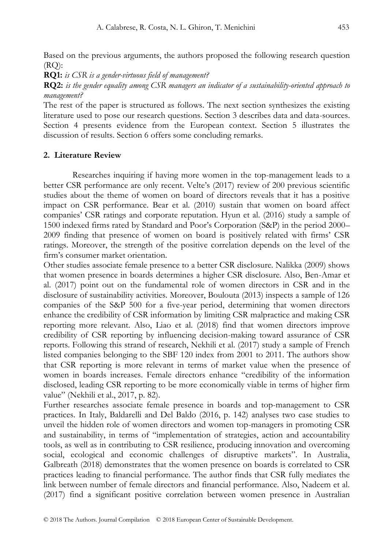Based on the previous arguments, the authors proposed the following research question  $(RO)$ :

**RQ1:** *is CSR is a gender-virtuous field of management?*

**RQ2:** *is the gender equality among CSR managers an indicator of a sustainability-oriented approach to management?*

The rest of the paper is structured as follows. The next section synthesizes the existing literature used to pose our research questions. Section 3 describes data and data-sources. Section 4 presents evidence from the European context. Section 5 illustrates the discussion of results. Section 6 offers some concluding remarks.

## **2. Literature Review**

Researches inquiring if having more women in the top-management leads to a better CSR performance are only recent. Velte's (2017) review of 200 previous scientific studies about the theme of women on board of directors reveals that it has a positive impact on CSR performance. Bear et al. (2010) sustain that women on board affect companies" CSR ratings and corporate reputation. Hyun et al. (2016) study a sample of 1500 indexed firms rated by Standard and Poor"s Corporation (S&P) in the period 2000– 2009 finding that presence of women on board is positively related with firms" CSR ratings. Moreover, the strength of the positive correlation depends on the level of the firm"s consumer market orientation.

Other studies associate female presence to a better CSR disclosure. Nalikka (2009) shows that women presence in boards determines a higher CSR disclosure. Also, Ben-Amar et al. (2017) point out on the fundamental role of women directors in CSR and in the disclosure of sustainability activities. Moreover, Boulouta (2013) inspects a sample of 126 companies of the S&P 500 for a five-year period, determining that women directors enhance the credibility of CSR information by limiting CSR malpractice and making CSR reporting more relevant. Also, Liao et al. (2018) find that women directors improve credibility of CSR reporting by influencing decision-making toward assurance of CSR reports. Following this strand of research, Nekhili et al. (2017) study a sample of French listed companies belonging to the SBF 120 index from 2001 to 2011. The authors show that CSR reporting is more relevant in terms of market value when the presence of women in boards increases. Female directors enhance "credibility of the information disclosed, leading CSR reporting to be more economically viable in terms of higher firm value" (Nekhili et al., 2017, p. 82).

Further researches associate female presence in boards and top-management to CSR practices. In Italy, Baldarelli and Del Baldo (2016, p. 142) analyses two case studies to unveil the hidden role of women directors and women top-managers in promoting CSR and sustainability, in terms of "implementation of strategies, action and accountability tools, as well as in contributing to CSR resilience, producing innovation and overcoming social, ecological and economic challenges of disruptive markets". In Australia, Galbreath (2018) demonstrates that the women presence on boards is correlated to CSR practices leading to financial performance. The author finds that CSR fully mediates the link between number of female directors and financial performance. Also, Nadeem et al. (2017) find a significant positive correlation between women presence in Australian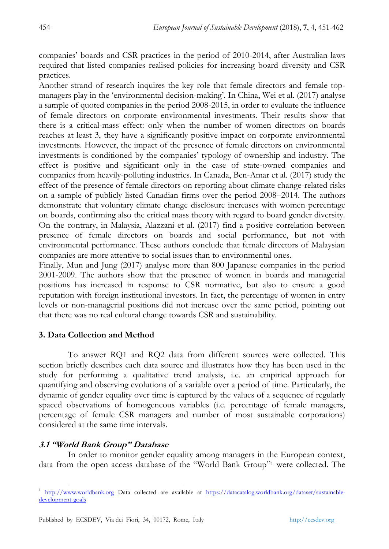companies" boards and CSR practices in the period of 2010-2014, after Australian laws required that listed companies realised policies for increasing board diversity and CSR practices.

Another strand of research inquires the key role that female directors and female topmanagers play in the "environmental decision-making". In China, Wei et al. (2017) analyse a sample of quoted companies in the period 2008-2015, in order to evaluate the influence of female directors on corporate environmental investments. Their results show that there is a critical-mass effect: only when the number of women directors on boards reaches at least 3, they have a significantly positive impact on corporate environmental investments. However, the impact of the presence of female directors on environmental investments is conditioned by the companies" typology of ownership and industry. The effect is positive and significant only in the case of state-owned companies and companies from heavily-polluting industries. In Canada, Ben-Amar et al. (2017) study the effect of the presence of female directors on reporting about climate change-related risks on a sample of publicly listed Canadian firms over the period 2008–2014. The authors demonstrate that voluntary climate change disclosure increases with women percentage on boards, confirming also the critical mass theory with regard to board gender diversity. On the contrary, in Malaysia, Alazzani et al. (2017) find a positive correlation between presence of female directors on boards and social performance, but not with environmental performance. These authors conclude that female directors of Malaysian companies are more attentive to social issues than to environmental ones.

Finally, Mun and Jung (2017) analyse more than 800 Japanese companies in the period 2001-2009. The authors show that the presence of women in boards and managerial positions has increased in response to CSR normative, but also to ensure a good reputation with foreign institutional investors. In fact, the percentage of women in entry levels or non-managerial positions did not increase over the same period, pointing out that there was no real cultural change towards CSR and sustainability.

# **3. Data Collection and Method**

To answer RQ1 and RQ2 data from different sources were collected. This section briefly describes each data source and illustrates how they has been used in the study for performing a qualitative trend analysis, i.e. an empirical approach for quantifying and observing evolutions of a variable over a period of time. Particularly, the dynamic of gender equality over time is captured by the values of a sequence of regularly spaced observations of homogeneous variables (i.e. percentage of female managers, percentage of female CSR managers and number of most sustainable corporations) considered at the same time intervals.

# **3.1 "World Bank Group" Database**

In order to monitor gender equality among managers in the European context, data from the open access database of the "World Bank Group"<sup>1</sup> were collected. The

 $\overline{a}$ 1 [http://www.worldbank.org](http://www.worldbank.org/) Data collected are available at [https://datacatalog.worldbank.org/dataset/sustainable](https://datacatalog.worldbank.org/dataset/sustainable-development-goals)[development-goals](https://datacatalog.worldbank.org/dataset/sustainable-development-goals)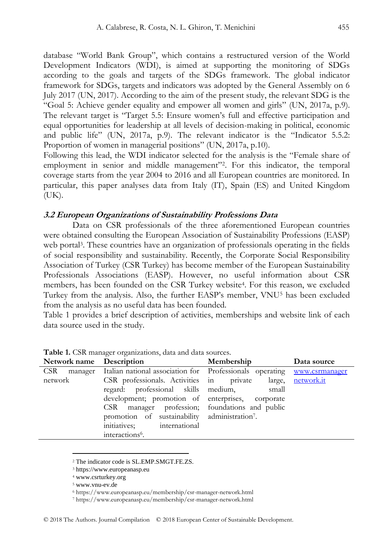database "World Bank Group", which contains a restructured version of the World Development Indicators (WDI), is aimed at supporting the monitoring of SDGs according to the goals and targets of the SDGs framework. The global indicator framework for SDGs, targets and indicators was adopted by the General Assembly on 6 July 2017 (UN, 2017). According to the aim of the present study, the relevant SDG is the "Goal 5: Achieve gender equality and empower all women and girls" (UN, 2017a, p.9). The relevant target is "Target 5.5: Ensure women"s full and effective participation and equal opportunities for leadership at all levels of decision-making in political, economic and public life" (UN, 2017a, p.9). The relevant indicator is the "Indicator 5.5.2: Proportion of women in managerial positions" (UN, 2017a, p.10).

Following this lead, the WDI indicator selected for the analysis is the "Female share of employment in senior and middle management"<sup>2</sup> . For this indicator, the temporal coverage starts from the year 2004 to 2016 and all European countries are monitored. In particular, this paper analyses data from Italy (IT), Spain (ES) and United Kingdom (UK).

#### **3.2 European Organizations of Sustainability Professions Data**

Data on CSR professionals of the three aforementioned European countries were obtained consulting the European Association of Sustainability Professions (EASP) web portal<sup>3</sup>. These countries have an organization of professionals operating in the fields of social responsibility and sustainability. Recently, the Corporate Social Responsibility Association of Turkey (CSR Turkey) has become member of the European Sustainability Professionals Associations (EASP). However, no useful information about CSR members, has been founded on the CSR Turkey website<sup>4</sup>. For this reason, we excluded Turkey from the analysis. Also, the further EASP"s member, VNU<sup>5</sup> has been excluded from the analysis as no useful data has been founded.

Table 1 provides a brief description of activities, memberships and website link of each data source used in the study.

| Network name Description |                                                                                 | Membership | Data source |  |  |
|--------------------------|---------------------------------------------------------------------------------|------------|-------------|--|--|
| CSR.                     | manager Italian national association for Professionals operating www.csrmanager |            |             |  |  |
| network                  | CSR professionals. Activities in private                                        | large,     | network.it  |  |  |
|                          | regard: professional skills medium,                                             | small      |             |  |  |
|                          | development; promotion of enterprises, corporate                                |            |             |  |  |
|                          | CSR manager profession; foundations and public                                  |            |             |  |  |
|                          | promotion of sustainability administration7.                                    |            |             |  |  |
|                          | initiatives:<br>international                                                   |            |             |  |  |
|                          | interactions <sup>6</sup> .                                                     |            |             |  |  |

**Table 1.** CSR manager organizations, data and data sources.

<u>.</u>

<sup>2</sup> The indicator code is SL.EMP.SMGT.FE.ZS.

<sup>3</sup> https://www.europeanasp.eu

<sup>4</sup> [www.csrturkey.org](http://csrturkey.org/)

<sup>5</sup> [www.vnu-ev.de](http://www.vnu-ev.de/)

<sup>6</sup> https://www.europeanasp.eu/membership/csr-manager-network.html

<sup>7</sup> https://www.europeanasp.eu/membership/csr-manager-network.html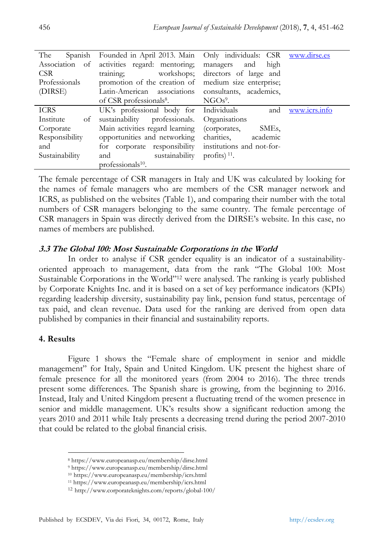| The<br>Spanish  | Founded in April 2013. Main Only individuals: CSR www.dirse.es |                                    |               |
|-----------------|----------------------------------------------------------------|------------------------------------|---------------|
| Association of  | activities regard: mentoring;                                  | managers and high                  |               |
| CSR.            | training;                                                      | workshops; directors of large and  |               |
| Professionals   | promotion of the creation of medium size enterprise;           |                                    |               |
| (DIRSE)         | Latin-American associations consultants, academics,            |                                    |               |
|                 | of CSR professionals <sup>8</sup> . NGOs <sup>9</sup> .        |                                    |               |
| <b>ICRS</b>     | UK's professional body for Individuals                         | and                                | www.icrs.info |
| Institute<br>of | sustainability professionals.                                  | Organisations                      |               |
| Corporate       | Main activities regard learning                                | SME <sub>s</sub> .<br>(corporates, |               |
| Responsibility  | opportunities and networking                                   | charities.<br>academic             |               |
| and             | for corporate responsibility institutions and not-for-         |                                    |               |
| Sustainability  | sustainability profits) $11$ .<br>and                          |                                    |               |
|                 | professionals <sup>10</sup> .                                  |                                    |               |

The female percentage of CSR managers in Italy and UK was calculated by looking for the names of female managers who are members of the CSR manager network and ICRS, as published on the websites (Table 1), and comparing their number with the total numbers of CSR managers belonging to the same country. The female percentage of CSR managers in Spain was directly derived from the DIRSE"s website. In this case, no names of members are published.

# **3.3 The Global 100: Most Sustainable Corporations in the World**

In order to analyse if CSR gender equality is an indicator of a sustainabilityoriented approach to management, data from the rank "The Global 100: Most Sustainable Corporations in the World"<sup>12</sup> were analysed. The ranking is yearly published by Corporate Knights Inc. and it is based on a set of key performance indicators (KPIs) regarding leadership diversity, sustainability pay link, pension fund status, percentage of tax paid, and clean revenue. Data used for the ranking are derived from open data published by companies in their financial and sustainability reports.

#### **4. Results**

 $\overline{a}$ 

Figure 1 shows the "Female share of employment in senior and middle management" for Italy, Spain and United Kingdom. UK present the highest share of female presence for all the monitored years (from 2004 to 2016). The three trends present some differences. The Spanish share is growing, from the beginning to 2016. Instead, Italy and United Kingdom present a fluctuating trend of the women presence in senior and middle management. UK"s results show a significant reduction among the years 2010 and 2011 while Italy presents a decreasing trend during the period 2007-2010 that could be related to the global financial crisis.

<sup>8</sup> https://www.europeanasp.eu/membership/dirse.html

<sup>9</sup> https://www.europeanasp.eu/membership/dirse.html

<sup>10</sup> https://www.europeanasp.eu/membership/icrs.html

<sup>11</sup> https://www.europeanasp.eu/membership/icrs.html

<sup>12</sup> <http://www.corporateknights.com/reports/global-100/>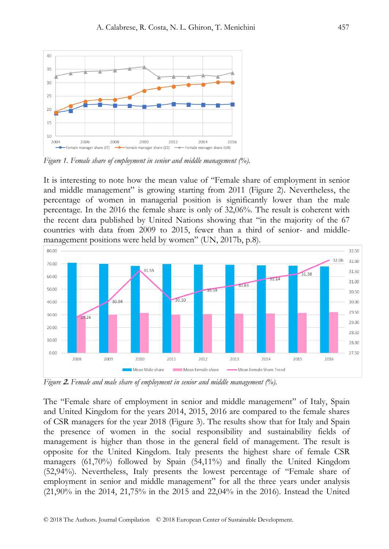

*Figure 1. Female share of employment in senior and middle management (%).* 

It is interesting to note how the mean value of "Female share of employment in senior and middle management" is growing starting from 2011 (Figure 2). Nevertheless, the percentage of women in managerial position is significantly lower than the male percentage. In the 2016 the female share is only of 32,06%. The result is coherent with the recent data published by United Nations showing that "in the majority of the 67 countries with data from 2009 to 2015, fewer than a third of senior- and middlemanagement positions were held by women" (UN, 2017b, p.8).



*Figure* **2.** *Female and male share of employment in senior and middle management (%).* 

The "Female share of employment in senior and middle management" of Italy, Spain and United Kingdom for the years 2014, 2015, 2016 are compared to the female shares of CSR managers for the year 2018 (Figure 3). The results show that for Italy and Spain the presence of women in the social responsibility and sustainability fields of management is higher than those in the general field of management. The result is opposite for the United Kingdom. Italy presents the highest share of female CSR managers (61,70%) followed by Spain (54,11%) and finally the United Kingdom (52,94%). Nevertheless, Italy presents the lowest percentage of "Female share of employment in senior and middle management" for all the three years under analysis (21,90% in the 2014, 21,75% in the 2015 and 22,04% in the 2016). Instead the United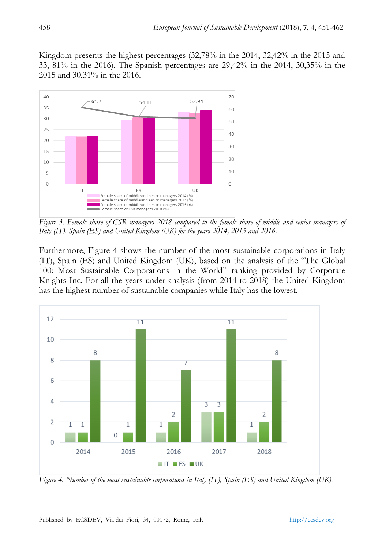Kingdom presents the highest percentages (32,78% in the 2014, 32,42% in the 2015 and 33, 81% in the 2016). The Spanish percentages are 29,42% in the 2014, 30,35% in the 2015 and 30,31% in the 2016.



*Figure 3. Female share of CSR managers 2018 compared to the female share of middle and senior managers of Italy (IT), Spain (ES) and United Kingdom (UK) for the years 2014, 2015 and 2016.*

Furthermore, Figure 4 shows the number of the most sustainable corporations in Italy (IT), Spain (ES) and United Kingdom (UK), based on the analysis of the "The Global 100: Most Sustainable Corporations in the World" ranking provided by Corporate Knights Inc. For all the years under analysis (from 2014 to 2018) the United Kingdom has the highest number of sustainable companies while Italy has the lowest.



*Figure 4. Number of the most sustainable corporations in Italy (IT), Spain (ES) and United Kingdom (UK).*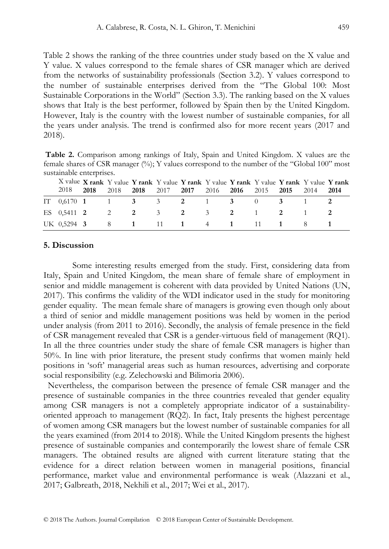Table 2 shows the ranking of the three countries under study based on the X value and Y value. X values correspond to the female shares of CSR manager which are derived from the networks of sustainability professionals (Section 3.2). Y values correspond to the number of sustainable enterprises derived from the "The Global 100: Most Sustainable Corporations in the World" (Section 3.3). The ranking based on the X values shows that Italy is the best performer, followed by Spain then by the United Kingdom. However, Italy is the country with the lowest number of sustainable companies, for all the years under analysis. The trend is confirmed also for more recent years (2017 and 2018).

**Table 2.** Comparison among rankings of Italy, Spain and United Kingdom. X values are the female shares of CSR manager (%); Y values correspond to the number of the "Global 100" most sustainable enterprises.

| 2018 | - 2018 | X value X rank Y value Y rank Y value Y rank Y value Y rank Y value Y rank Y value Y rank<br>2018 2018 2017 2017 2016 2016 2015 2015 2014 2014 |  |  |  |  |
|------|--------|------------------------------------------------------------------------------------------------------------------------------------------------|--|--|--|--|
|      |        | IT $0.6170$ 1 1 3 3 2 1 3 0 3 1 2                                                                                                              |  |  |  |  |
|      |        | ES 0.5411 2 2 2 3 2 3 2 1 2 1 2                                                                                                                |  |  |  |  |
|      |        | UK 0.5294 3 8 1 11 1 4 1 11 1 8 1                                                                                                              |  |  |  |  |

#### **5. Discussion**

Some interesting results emerged from the study. First, considering data from Italy, Spain and United Kingdom, the mean share of female share of employment in senior and middle management is coherent with data provided by United Nations (UN, 2017). This confirms the validity of the WDI indicator used in the study for monitoring gender equality. The mean female share of managers is growing even though only about a third of senior and middle management positions was held by women in the period under analysis (from 2011 to 2016). Secondly, the analysis of female presence in the field of CSR management revealed that CSR is a gender-virtuous field of management (RQ1). In all the three countries under study the share of female CSR managers is higher than 50%. In line with prior literature, the present study confirms that women mainly held positions in "soft" managerial areas such as human resources, advertising and corporate social responsibility (e.g. Zelechowski and Bilimoria 2006).

Nevertheless, the comparison between the presence of female CSR manager and the presence of sustainable companies in the three countries revealed that gender equality among CSR managers is not a completely appropriate indicator of a sustainabilityoriented approach to management (RQ2). In fact, Italy presents the highest percentage of women among CSR managers but the lowest number of sustainable companies for all the years examined (from 2014 to 2018). While the United Kingdom presents the highest presence of sustainable companies and contemporarily the lowest share of female CSR managers. The obtained results are aligned with current literature stating that the evidence for a direct relation between women in managerial positions, financial performance, market value and environmental performance is weak (Alazzani et al., 2017; Galbreath, 2018, Nekhili et al., 2017; Wei et al., 2017).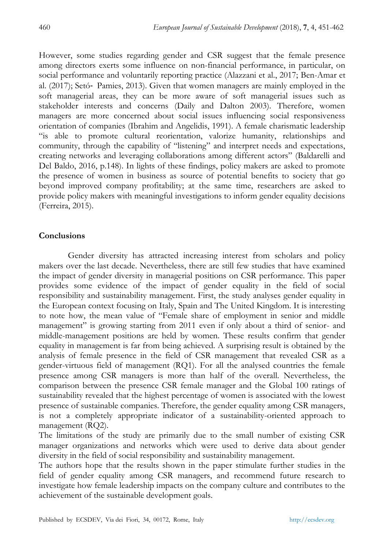However, some studies regarding gender and CSR suggest that the female presence among directors exerts some influence on non-financial performance, in particular, on social performance and voluntarily reporting practice (Alazzani et al., 2017; Ben-Amar et al. (2017); Setó‐ Pamies, 2013). Given that women managers are mainly employed in the soft managerial areas, they can be more aware of soft managerial issues such as stakeholder interests and concerns (Daily and Dalton 2003). Therefore, women managers are more concerned about social issues influencing social responsiveness orientation of companies (Ibrahim and Angelidis, 1991). A female charismatic leadership "is able to promote cultural reorientation, valorize humanity, relationships and community, through the capability of "listening" and interpret needs and expectations, creating networks and leveraging collaborations among different actors" (Baldarelli and Del Baldo, 2016, p.148). In lights of these findings, policy makers are asked to promote the presence of women in business as source of potential benefits to society that go beyond improved company profitability; at the same time, researchers are asked to provide policy makers with meaningful investigations to inform gender equality decisions (Ferreira, 2015).

## **Conclusions**

Gender diversity has attracted increasing interest from scholars and policy makers over the last decade. Nevertheless, there are still few studies that have examined the impact of gender diversity in managerial positions on CSR performance. This paper provides some evidence of the impact of gender equality in the field of social responsibility and sustainability management. First, the study analyses gender equality in the European context focusing on Italy, Spain and The United Kingdom. It is interesting to note how, the mean value of "Female share of employment in senior and middle management" is growing starting from 2011 even if only about a third of senior- and middle-management positions are held by women. These results confirm that gender equality in management is far from being achieved. A surprising result is obtained by the analysis of female presence in the field of CSR management that revealed CSR as a gender-virtuous field of management (RQ1). For all the analysed countries the female presence among CSR managers is more than half of the overall. Nevertheless, the comparison between the presence CSR female manager and the Global 100 ratings of sustainability revealed that the highest percentage of women is associated with the lowest presence of sustainable companies. Therefore, the gender equality among CSR managers, is not a completely appropriate indicator of a sustainability-oriented approach to management (RQ2).

The limitations of the study are primarily due to the small number of existing CSR manager organizations and networks which were used to derive data about gender diversity in the field of social responsibility and sustainability management.

The authors hope that the results shown in the paper stimulate further studies in the field of gender equality among CSR managers, and recommend future research to investigate how female leadership impacts on the company culture and contributes to the achievement of the sustainable development goals.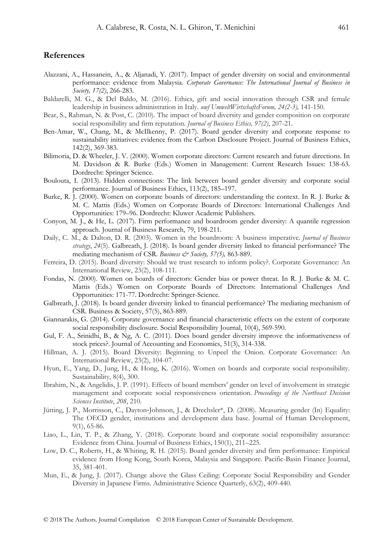#### **References**

- Alazzani, A., Hassanein, A., & Aljanadi, Y. (2017). Impact of gender diversity on social and environmental performance: evidence from Malaysia. *Corporate Governance: The International Journal of Business in Society, 17(2)*, 266-283.
- Baldarelli, M. G., & Del Baldo, M. (2016). Ethics, gift and social innovation through CSR and female leadership in business administration in Italy. *uwf UmweltWirtschaftsForum, 24(2-3),* 141-150.
- Bear, S., Rahman, N. & Post, C. (2010). The impact of board diversity and gender composition on corporate social responsibility and firm reputation. *Journal of Business Ethics, 97(2)*, 207-21.
- Ben-Amar, W., Chang, M., & McIlkenny, P. (2017). Board gender diversity and corporate response to sustainability initiatives: evidence from the Carbon Disclosure Project. Journal of Business Ethics, 142(2), 369-383.
- Bilimoria, D. & Wheeler, J. V. (2000). Women corporate directors: Current research and future directions. In M. Davidson & R. Burke (Eds.) Women in Management: Current Research Issues: 138-63. Dordrecht: Springer Science.
- Boulouta, I. (2013). Hidden connections: The link between board gender diversity and corporate social performance. Journal of Business Ethics, 113(2), 185–197.
- Burke, R. J. (2000). Women on corporate boards of directors: understanding the context. In R. J. Burke & M. C. Mattis (Eds.) Women on Corporate Boards of Directors: International Challenges And Opportunities: 179–96. Dordrecht: Kluwer Academic Publishers.
- Conyon, M. J., & He, L. (2017). Firm performance and boardroom gender diversity: A quantile regression approach. Journal of Business Research, 79, 198-211.
- Daily, C. M., & Dalton, D. R. (2003). Women in the boardroom: A business imperative. *Journal of Business strategy*, *24*(5). Galbreath, J. (2018). Is board gender diversity linked to financial performance? The mediating mechanism of CSR. *Business & Society*, 57(5), 863-889.
- Ferreira, D. (2015). Board diversity: Should we trust research to inform policy?. Corporate Governance: An International Review, 23(2), 108-111.
- Fondas, N. (2000). Women on boards of directors: Gender bias or power threat. In R. J. Burke & M. C. Mattis (Eds.) Women on Corporate Boards of Directors: International Challenges And Opportunities: 171-77. Dordrecht: Springer-Science.
- Galbreath, J. (2018). Is board gender diversity linked to financial performance? The mediating mechanism of CSR. Business & Society, 57(5), 863-889.
- Giannarakis, G. (2014). Corporate governance and financial characteristic effects on the extent of corporate social responsibility disclosure. Social Responsibility Journal, 10(4), 569-590.
- Gul, F. A., Srinidhi, B., & Ng, A. C. (2011). Does board gender diversity improve the informativeness of stock prices?. Journal of Accounting and Economics, 51(3), 314-338.
- Hillman, A. J. (2015). Board Diversity: Beginning to Unpeel the Onion. Corporate Governance: An International Review, 23(2), 104-07.
- Hyun, E., Yang, D., Jung, H., & Hong, K. (2016). Women on boards and corporate social responsibility. Sustainability, 8(4), 300.
- Ibrahim, N., & Angelidis, J. P. (1991). Effects of board members" gender on level of involvement in strategic management and corporate social responsiveness orientation. *Proceedings of the Northeast Decision Sciences Institute*, *208*, 210.
- Jütting, J. P., Morrisson, C., Dayton‐Johnson, J., & Drechsler\*, D. (2008). Measuring gender (In) Equality: The OECD gender, institutions and development data base. Journal of Human Development, 9(1), 65-86.
- Liao, L., Lin, T. P., & Zhang, Y. (2018). Corporate board and corporate social responsibility assurance: Evidence from China. Journal of Business Ethics, 150(1), 211–225.
- Low, D. C., Roberts, H., & Whiting, R. H. (2015). Board gender diversity and firm performance: Empirical evidence from Hong Kong, South Korea, Malaysia and Singapore. Pacific-Basin Finance Journal, 35, 381-401.
- Mun, E., & Jung, J. (2017). Change above the Glass Ceiling: Corporate Social Responsibility and Gender Diversity in Japanese Firms. Administrative Science Quarterly, 63(2), 409-440.